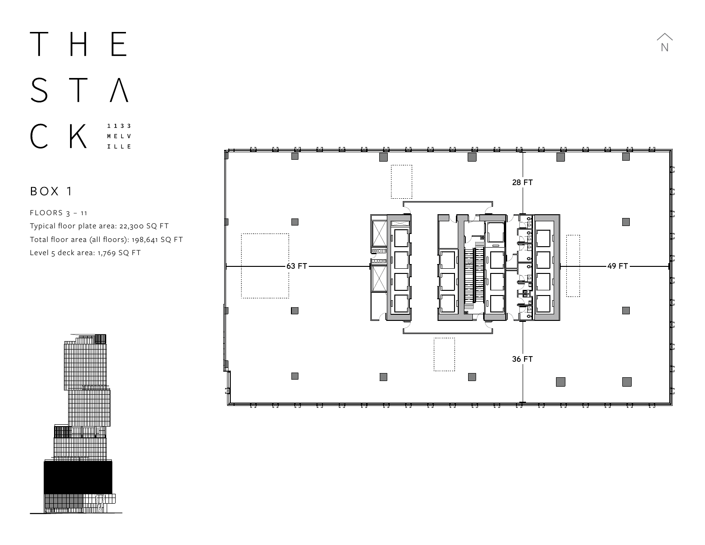### THE STA CK  $1 1 3 3$ MELV<br>MELV<br>ILLE

BOX 1

FLOORS 3 - 11 Typical floor plate area: 22,300 SQ FT Typical floor plate area: 13,826 SQ FT Total floor area (all floors): 198,641 SQ FT Total floor area (all floors): 121,031 SQ FT Level 5 deck area: 1,769 SQ FT Level 19 deck area: 4,000 SQ FT



N N

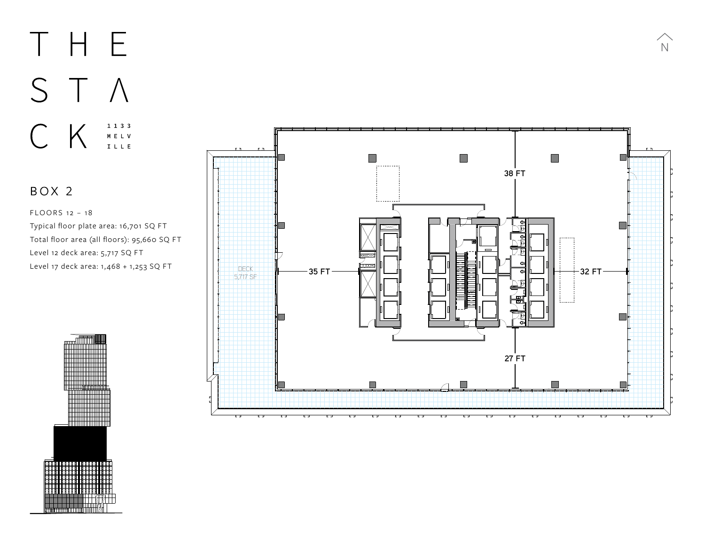## THE STA  $1 1 3 3$ CK M E L V<br>I L L E

#### BOX 2

FLOORS 12 - 18 Typical floor plate area: 16,701 SQ FT Typical floor plate area: 13,826 SQ FT Total floor area (all floors): 95,660 SQ FT Total floor area (all floors): 121,031 SQ FT Level 12 deck area: 5 ,717 SQ FT Level 19 deck area: 4,000 SQ FT Level 17 deck area: 1, 468 + 1,253 SQ FT



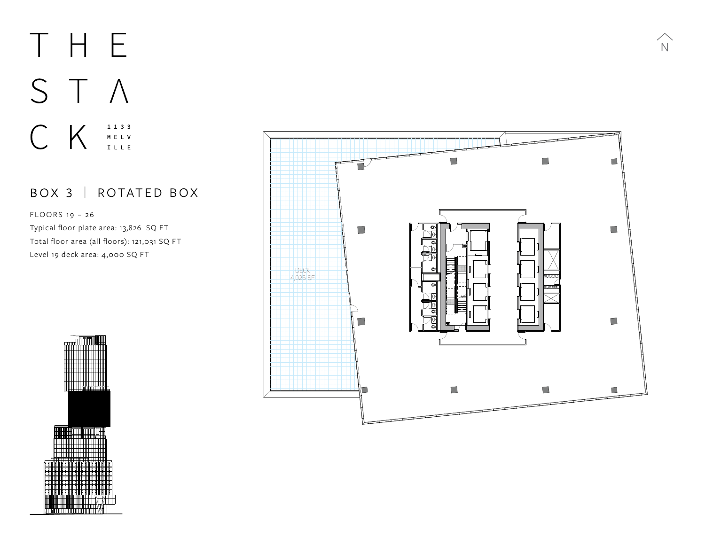# THE STA  $C$   $K$   $\underset{\text{mely}}{\overset{\text{hely}}{}}$

#### BOX 3 | ROTATED BOX

 $F$  LOORS 19 - 26 Typical floor plate area: 13,826 SQ FT Total floor area (all floors): 121,031 SQ FT Level 19 deck area: 4,000 SQ FT



 $\widehat{N}$